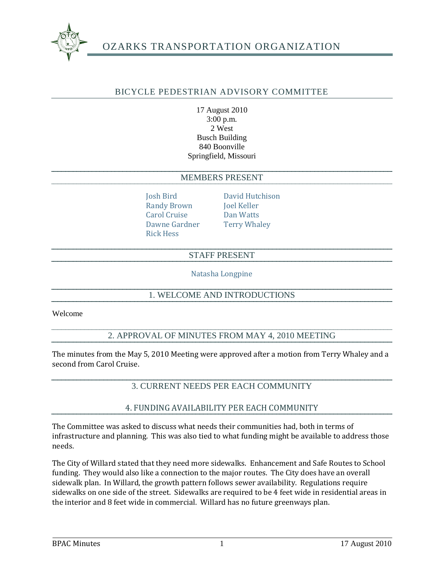

# OZARKS TRANSPORTATION ORGANIZATION

### BICYCLE PEDESTRIAN ADVISORY COMMITTEE

17 August 2010 3:00 p.m. 2 West Busch Building 840 Boonville Springfield, Missouri

#### MEMBERS PRESENT

Randy Brown Joel Keller Carol Cruise Dan Watts Dawne Gardner Terry Whaley Rick Hess

Josh Bird David Hutchison

#### STAFF PRESENT

Natasha Longpine

# 1. WELCOME AND INTRODUCTIONS

Welcome

#### 2. APPROVAL OF MINUTES FROM MAY 4, 2010 MEETING

The minutes from the May 5, 2010 Meeting were approved after a motion from Terry Whaley and a second from Carol Cruise.

# 3. CURRENT NEEDS PER EACH COMMUNITY

#### 4. FUNDING AVAILABILITY PER EACH COMMUNITY

The Committee was asked to discuss what needs their communities had, both in terms of infrastructure and planning. This was also tied to what funding might be available to address those needs.

The City of Willard stated that they need more sidewalks. Enhancement and Safe Routes to School funding. They would also like a connection to the major routes. The City does have an overall sidewalk plan. In Willard, the growth pattern follows sewer availability. Regulations require sidewalks on one side of the street. Sidewalks are required to be 4 feet wide in residential areas in the interior and 8 feet wide in commercial. Willard has no future greenways plan.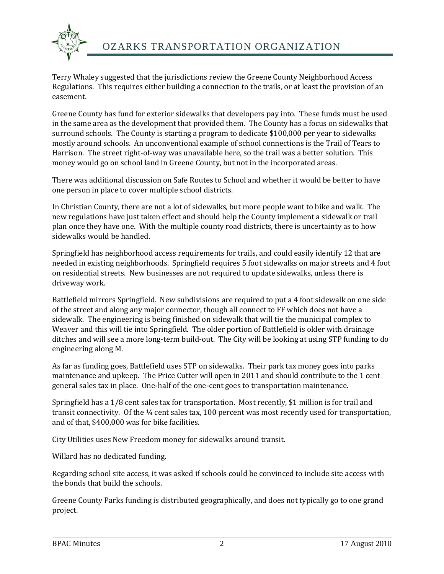

Terry Whaley suggested that the jurisdictions review the Greene County Neighborhood Access Regulations. This requires either building a connection to the trails, or at least the provision of an easement.

Greene County has fund for exterior sidewalks that developers pay into. These funds must be used in the same area as the development that provided them. The County has a focus on sidewalks that surround schools. The County is starting a program to dedicate \$100,000 per year to sidewalks mostly around schools. An unconventional example of school connections is the Trail of Tears to Harrison. The street right-of-way was unavailable here, so the trail was a better solution. This money would go on school land in Greene County, but not in the incorporated areas.

There was additional discussion on Safe Routes to School and whether it would be better to have one person in place to cover multiple school districts.

In Christian County, there are not a lot of sidewalks, but more people want to bike and walk. The new regulations have just taken effect and should help the County implement a sidewalk or trail plan once they have one. With the multiple county road districts, there is uncertainty as to how sidewalks would be handled.

Springfield has neighborhood access requirements for trails, and could easily identify 12 that are needed in existing neighborhoods. Springfield requires 5 foot sidewalks on major streets and 4 foot on residential streets. New businesses are not required to update sidewalks, unless there is driveway work.

Battlefield mirrors Springfield. New subdivisions are required to put a 4 foot sidewalk on one side of the street and along any major connector, though all connect to FF which does not have a sidewalk. The engineering is being finished on sidewalk that will tie the municipal complex to Weaver and this will tie into Springfield. The older portion of Battlefield is older with drainage ditches and will see a more long-term build-out. The City will be looking at using STP funding to do engineering along M.

As far as funding goes, Battlefield uses STP on sidewalks. Their park tax money goes into parks maintenance and upkeep. The Price Cutter will open in 2011 and should contribute to the 1 cent general sales tax in place. One-half of the one-cent goes to transportation maintenance.

Springfield has a 1/8 cent sales tax for transportation. Most recently, \$1 million is for trail and transit connectivity. Of the ¼ cent sales tax, 100 percent was most recently used for transportation, and of that, \$400,000 was for bike facilities.

City Utilities uses New Freedom money for sidewalks around transit.

Willard has no dedicated funding.

Regarding school site access, it was asked if schools could be convinced to include site access with the bonds that build the schools.

Greene County Parks funding is distributed geographically, and does not typically go to one grand project.